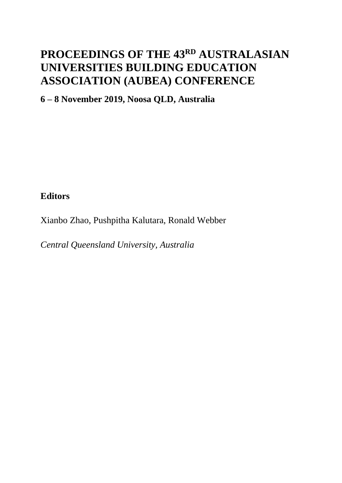# **PROCEEDINGS OF THE 43RD AUSTRALASIAN UNIVERSITIES BUILDING EDUCATION ASSOCIATION (AUBEA) CONFERENCE**

**6 – 8 November 2019, Noosa QLD, Australia**

**Editors**

Xianbo Zhao, Pushpitha Kalutara, Ronald Webber

*Central Queensland University, Australia*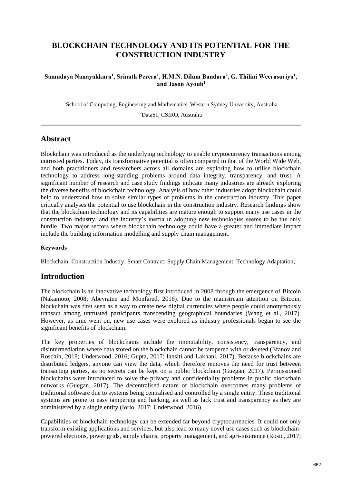# **BLOCKCHAIN TECHNOLOGY AND ITS POTENTIAL FOR THE CONSTRUCTION INDUSTRY**

#### **Samudaya Nanayakkara<sup>1</sup> , Srinath Perera<sup>1</sup> , H.M.N. Dilum Bandara<sup>2</sup> , G. Thilini Weerasuriya<sup>1</sup> , and Jason Ayoub<sup>1</sup>**

<sup>1</sup>School of Computing, Engineering and Mathematics, Western Sydney University, Australia

<sup>2</sup>Data61, CSIRO, Australia

## **Abstract**

Blockchain was introduced as the underlying technology to enable cryptocurrency transactions among untrusted parties. Today, its transformative potential is often compared to that of the World Wide Web, and both practitioners and researchers across all domains are exploring how to utilise blockchain technology to address long-standing problems around data integrity, transparency, and trust. A significant number of research and case study findings indicate many industries are already exploring the diverse benefits of blockchain technology. Analysis of how other industries adopt blockchain could help to understand how to solve similar types of problems in the construction industry. This paper critically analyses the potential to use blockchain in the construction industry. Research findings show that the blockchain technology and its capabilities are mature enough to support many use cases in the construction industry, and the industry's inertia in adopting new technologies seems to be the only hurdle. Two major sectors where blockchain technology could have a greater and immediate impact include the building information modelling and supply chain management.

#### **Keywords**

Blockchain; Construction Industry; Smart Contract; Supply Chain Management; Technology Adaptation;

## **Introduction**

The blockchain is an innovative technology first introduced in 2008 through the emergence of Bitcoin (Nakamoto, 2008; Abeyratne and Monfared, 2016). Due to the mainstream attention on Bitcoin, blockchain was first seen as a way to create new digital currencies where people could anonymously transact among untrusted participants transcending geographical boundaries (Wang et al., 2017). However, as time went on, new use cases were explored as industry professionals began to see the significant benefits of blockchain.

The key properties of blockchains include the immutability, consistency, transparency, and disintermediation where data stored on the blockchain cannot be tampered with or deleted (Efanov and Roschin, 2018; Underwood, 2016; Gupta, 2017; Iansiti and Lakhani, 2017). Because blockchains are distributed ledgers, anyone can view the data, which therefore removes the need for trust between transacting parties, as no secrets can be kept on a public blockchain (Guegan, 2017). Permissioned blockchains were introduced to solve the privacy and confidentiality problems in public blockchain networks (Guegan, 2017). The decentralised nature of blockchain overcomes many problems of traditional software due to systems being centralised and controlled by a single entity. These traditional systems are prone to easy tampering and hacking, as well as lack trust and transparency as they are administered by a single entity (Iorio, 2017; Underwood, 2016).

Capabilities of blockchain technology can be extended far beyond cryptocurrencies. It could not only transform existing applications and services, but also lead to many novel use cases such as blockchainpowered elections, power grids, supply chains, property management, and agri-insurance (Rosic, 2017;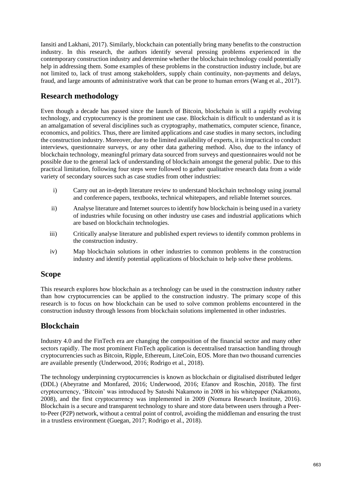Iansiti and Lakhani, 2017). Similarly, blockchain can potentially bring many benefits to the construction industry. In this research, the authors identify several pressing problems experienced in the contemporary construction industry and determine whether the blockchain technology could potentially help in addressing them. Some examples of these problems in the construction industry include, but are not limited to, lack of trust among stakeholders, supply chain continuity, non-payments and delays, fraud, and large amounts of administrative work that can be prone to human errors (Wang et al., 2017).

# **Research methodology**

Even though a decade has passed since the launch of Bitcoin, blockchain is still a rapidly evolving technology, and cryptocurrency is the prominent use case. Blockchain is difficult to understand as it is an amalgamation of several disciplines such as cryptography, mathematics, computer science, finance, economics, and politics. Thus, there are limited applications and case studies in many sectors, including the construction industry. Moreover, due to the limited availability of experts, it is impractical to conduct interviews, questionnaire surveys, or any other data gathering method. Also, due to the infancy of blockchain technology, meaningful primary data sourced from surveys and questionnaires would not be possible due to the general lack of understanding of blockchain amongst the general public. Due to this practical limitation, following four steps were followed to gather qualitative research data from a wide variety of secondary sources such as case studies from other industries:

- i) Carry out an in-depth literature review to understand blockchain technology using journal and conference papers, textbooks, technical whitepapers, and reliable Internet sources.
- ii) Analyse literature and Internet sources to identify how blockchain is being used in a variety of industries while focusing on other industry use cases and industrial applications which are based on blockchain technologies.
- iii) Critically analyse literature and published expert reviews to identify common problems in the construction industry.
- iv) Map blockchain solutions in other industries to common problems in the construction industry and identify potential applications of blockchain to help solve these problems.

## **Scope**

This research explores how blockchain as a technology can be used in the construction industry rather than how cryptocurrencies can be applied to the construction industry. The primary scope of this research is to focus on how blockchain can be used to solve common problems encountered in the construction industry through lessons from blockchain solutions implemented in other industries.

# **Blockchain**

Industry 4.0 and the FinTech era are changing the composition of the financial sector and many other sectors rapidly. The most prominent FinTech application is decentralised transaction handling through cryptocurrencies such as Bitcoin, Ripple, Ethereum, LiteCoin, EOS. More than two thousand currencies are available presently (Underwood, 2016; Rodrigo et al., 2018).

The technology underpinning cryptocurrencies is known as blockchain or digitalised distributed ledger (DDL) (Abeyratne and Monfared, 2016; Underwood, 2016; Efanov and Roschin, 2018). The first cryptocurrency, 'Bitcoin' was introduced by Satoshi Nakamoto in 2008 in his whitepaper (Nakamoto, 2008), and the first cryptocurrency was implemented in 2009 (Nomura Research Institute, 2016). Blockchain is a secure and transparent technology to share and store data between users through a Peerto-Peer (P2P) network, without a central point of control, avoiding the middleman and ensuring the trust in a trustless environment (Guegan, 2017; Rodrigo et al., 2018).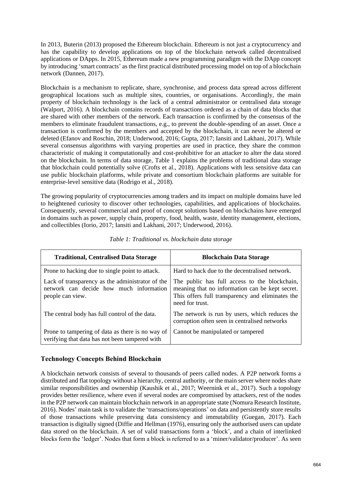In 2013, Buterin (2013) proposed the Ethereum blockchain. Ethereum is not just a cryptocurrency and has the capability to develop applications on top of the blockchain network called decentralised applications or DApps. In 2015, Ethereum made a new programming paradigm with the DApp concept by introducing 'smart contracts' as the first practical distributed processing model on top of a blockchain network (Dannen, 2017).

Blockchain is a mechanism to replicate, share, synchronise, and process data spread across different geographical locations such as multiple sites, countries, or organisations. Accordingly, the main property of blockchain technology is the lack of a central administrator or centralised data storage (Walport, 2016). A blockchain contains records of transactions ordered as a chain of data blocks that are shared with other members of the network. Each transaction is confirmed by the consensus of the members to eliminate fraudulent transactions, e.g., to prevent the double-spending of an asset. Once a transaction is confirmed by the members and accepted by the blockchain, it can never be altered or deleted (Efanov and Roschin, 2018; Underwood, 2016; Gupta, 2017; Iansiti and Lakhani, 2017). While several consensus algorithms with varying properties are used in practice, they share the common characteristic of making it computationally and cost-prohibitive for an attacker to alter the data stored on the blockchain. In terms of data storage, Table 1 explains the problems of traditional data storage that blockchain could potentially solve (Crofts et al., 2018). Applications with less sensitive data can use public blockchain platforms, while private and consortium blockchain platforms are suitable for enterprise-level sensitive data (Rodrigo et al., 2018).

The growing popularity of cryptocurrencies among traders and its impact on multiple domains have led to heightened curiosity to discover other technologies, capabilities, and applications of blockchains. Consequently, several commercial and proof of concept solutions based on blockchains have emerged in domains such as power, supply chain, property, food, health, waste, identity management, elections, and collectibles (Iorio, 2017; Iansiti and Lakhani, 2017; Underwood, 2016).

| <b>Traditional, Centralised Data Storage</b>                                                                    | <b>Blockchain Data Storage</b>                                                                                                                                          |  |
|-----------------------------------------------------------------------------------------------------------------|-------------------------------------------------------------------------------------------------------------------------------------------------------------------------|--|
| Prone to hacking due to single point to attack.                                                                 | Hard to hack due to the decentralised network.                                                                                                                          |  |
| Lack of transparency as the administrator of the<br>network can decide how much information<br>people can view. | The public has full access to the blockchain,<br>meaning that no information can be kept secret.<br>This offers full transparency and eliminates the<br>need for trust. |  |
| The central body has full control of the data.                                                                  | The network is run by users, which reduces the<br>corruption often seen in centralised networks                                                                         |  |
| Prone to tampering of data as there is no way of<br>verifying that data has not been tampered with              | Cannot be manipulated or tampered                                                                                                                                       |  |

| Table 1: Traditional vs. blockchain data storage |  |  |
|--------------------------------------------------|--|--|
|--------------------------------------------------|--|--|

#### **Technology Concepts Behind Blockchain**

A blockchain network consists of several to thousands of peers called nodes. A P2P network forms a distributed and flat topology without a hierarchy, central authority, or the main server where nodes share similar responsibilities and ownership (Kaushik et al., 2017; Weernink et al., 2017). Such a topology provides better resilience, where even if several nodes are compromised by attackers, rest of the nodes in the P2P network can maintain blockchain network in an appropriate state (Nomura Research Institute, 2016). Nodes' main task is to validate the 'transactions/operations' on data and persistently store results of those transactions while preserving data consistency and immutability (Guegan, 2017). Each transaction is digitally signed (Diffie and Hellman (1976), ensuring only the authorised users can update data stored on the blockchain. A set of valid transactions form a 'block', and a chain of interlinked blocks form the 'ledger'. Nodes that form a block is referred to as a 'miner/validator/producer'. As seen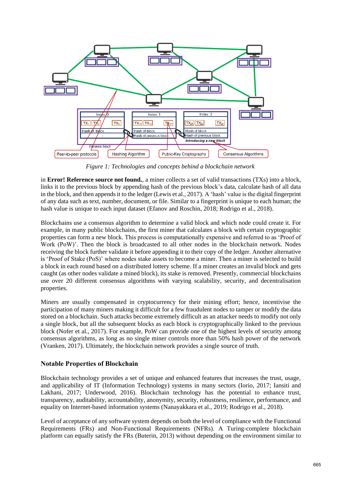

*Figure 1: Technologies and concepts behind a blockchain network*

in **Error! Reference source not found.**, a miner collects a set of valid transactions (TXs) into a block, links it to the previous block by appending hash of the previous block's data, calculate hash of all data in the block, and then appendsit to the ledger (Lewis et al., 2017). A 'hash' value is the digital fingerprint of any data such as text, number, document, or file. Similar to a fingerprint is unique to each human; the hash value is unique to each input dataset (Efanov and Roschin, 2018; Rodrigo et al., 2018).

Blockchains use a consensus algorithm to determine a valid block and which node could create it. For example, in many public blockchains, the first miner that calculates a block with certain cryptographic properties can form a new block. This process is computationally expensive and referred to as 'Proof of Work (PoW)'. Then the block is broadcasted to all other nodes in the blockchain network. Nodes receiving the block further validate it before appending it to their copy of the ledger. Another alternative is 'Proof of Stake (PoS)' where nodes stake assets to become a miner. Then a miner is selected to build a block in each round based on a distributed lottery scheme. If a miner creates an invalid block and gets caught (as other nodes validate a mined block), its stake is removed. Presently, commercial blockchains use over 20 different consensus algorithms with varying scalability, security, and decentralisation properties.

Miners are usually compensated in cryptocurrency for their mining effort; hence, incentivise the participation of many miners making it difficult for a few fraudulent nodes to tamper or modify the data stored on a blockchain. Such attacks become extremely difficult as an attacker needs to modify not only a single block, but all the subsequent blocks as each block is cryptographically linked to the previous block (Nofer et al., 2017). For example, PoW can provide one of the highest levels of security among consensus algorithms, as long as no single miner controls more than 50% hash power of the network (Vranken, 2017). Ultimately, the blockchain network provides a single source of truth.

#### **Notable Properties of Blockchain**

Blockchain technology provides a set of unique and enhanced features that increases the trust, usage, and applicability of IT (Information Technology) systems in many sectors (Iorio, 2017; Iansiti and Lakhani, 2017; Underwood, 2016). Blockchain technology has the potential to enhance trust, transparency, auditability, accountability, anonymity, security, robustness, resilience, performance, and equality on Internet-based information systems (Nanayakkara et al., 2019; Rodrigo et al., 2018).

Level of acceptance of any software system depends on both the level of compliance with the Functional Requirements (FRs) and Non-Functional Requirements (NFRs). A Turing-complete blockchain platform can equally satisfy the FRs (Buterin, 2013) without depending on the environment similar to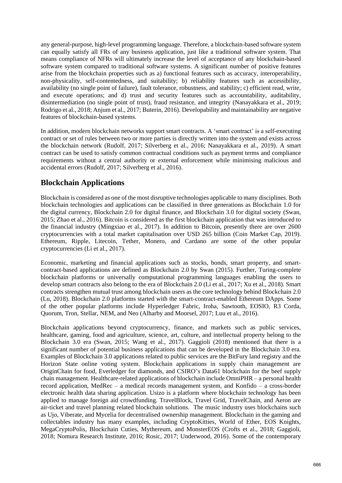any general-purpose, high-level programming language. Therefore, a blockchain-based software system can equally satisfy all FRs of any business application, just like a traditional software system. That means compliance of NFRs will ultimately increase the level of acceptance of any blockchain-based software system compared to traditional software systems. A significant number of positive features arise from the blockchain properties such as a) functional features such as accuracy, interoperability, non-physicality, self-contentedness, and suitability; b) reliability features such as accessibility, availability (no single point of failure), fault tolerance, robustness, and stability; c) efficient read, write, and execute operations; and d) trust and security features such as accountability, auditability, disintermediation (no single point of trust), fraud resistance, and integrity (Nanayakkara et al., 2019; Rodrigo et al., 2018; Anjum et al., 2017; Buterin, 2016). Developability and maintainability are negative features of blockchain-based systems.

In addition, modern blockchain networks support smart contracts. A 'smart contract' is a self-executing contract or set of rules between two or more parties is directly written into the system and exists across the blockchain network (Rudolf, 2017; Silverberg et al., 2016; Nanayakkara et al., 2019). A smart contract can be used to satisfy common contractual conditions such as payment terms and compliance requirements without a central authority or external enforcement while minimising malicious and accidental errors (Rudolf, 2017; Silverberg et al., 2016).

# **Blockchain Applications**

Blockchain is considered as one of the most disruptive technologies applicable to many disciplines. Both blockchain technologies and applications can be classified in three generations as Blockchain 1.0 for the digital currency, Blockchain 2.0 for digital finance, and Blockchain 3.0 for digital society (Swan, 2015; Zhao et al., 2016). Bitcoin is considered as the first blockchain application that was introduced to the financial industry (Mingxiao et al., 2017). In addition to Bitcoin, presently there are over 2600 cryptocurrencies with a total market capitalisation over USD 265 billion (Coin Market Cap, 2019). Ethereum, Ripple, Litecoin, Tether, Monero, and Cardano are some of the other popular cryptocurrencies (Li et al., 2017).

Economic, marketing and financial applications such as stocks, bonds, smart property, and smartcontract-based applications are defined as Blockchain 2.0 by Swan (2015). Further, Turing-complete blockchain platforms or universally computational programming languages enabling the users to develop smart contracts also belong to the era of Blockchain 2.0 (Li et al., 2017; Xu et al., 2018). Smart contracts strengthen mutual trust among blockchain users as the core technology behind Blockchain 2.0 (Lu, 2018). Blockchain 2.0 platforms started with the smart-contract-enabled Ethereum DApps. Some of the other popular platforms include Hyperledger Fabric, Iroha, Sawtooth, EOSIO, R3 Corda, Quorum, Tron, Stellar, NEM, and Neo (Alharby and Moorsel, 2017; Luu et al., 2016).

Blockchain applications beyond cryptocurrency, finance, and markets such as public services, healthcare, gaming, food and agriculture, science, art, culture, and intellectual property belong to the Blockchain 3.0 era (Swan, 2015; Wang et al., 2017). Gaggioli (2018) mentioned that there is a significant number of potential business applications that can be developed in the Blockchain 3.0 era. Examples of Blockchain 3.0 applications related to public services are the BitFury land registry and the Horizon State online voting system. Blockchain applications in supply chain management are OriginChain for food, Everledger for diamonds, and CSIRO's Data61 blockchain for the beef supply chain management. Healthcare-related applications of blockchain include OmniPHR – a personal health record application, MedRec – a medical records management system, and Konfido – a cross-border electronic health data sharing application. Usizo is a platform where blockchain technology has been applied to manage foreign aid crowdfunding. TravelBlock, Travel Grid, TravelChain, and Aeron are air-ticket and travel planning related blockchain solutions. The music industry uses blockchains such as Ujo, Viberate, and Mycelia for decentralised ownership management. Blockchain in the gaming and collectables industry has many examples, including CryptoKitties, World of Ether, EOS Knights, MegaCryptoPolis, Blockchain Cuties, Mythereum, and MonsterEOS (Crofts et al., 2018; Gaggioli, 2018; Nomura Research Institute, 2016; Rosic, 2017; Underwood, 2016). Some of the contemporary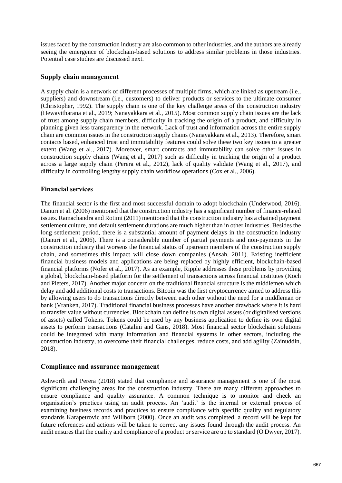issues faced by the construction industry are also common to other industries, and the authors are already seeing the emergence of blockchain-based solutions to address similar problems in those industries. Potential case studies are discussed next.

#### **Supply chain management**

A supply chain is a network of different processes of multiple firms, which are linked as upstream (i.e., suppliers) and downstream (i.e., customers) to deliver products or services to the ultimate consumer (Christopher, 1992). The supply chain is one of the key challenge areas of the construction industry (Hewavitharana et al., 2019; Nanayakkara et al., 2015). Most common supply chain issues are the lack of trust among supply chain members, difficulty in tracking the origin of a product, and difficulty in planning given less transparency in the network. Lack of trust and information across the entire supply chain are common issues in the construction supply chains (Nanayakkara et al., 2013). Therefore, smart contacts based, enhanced trust and immutability features could solve these two key issues to a greater extent (Wang et al., 2017). Moreover, smart contracts and immutability can solve other issues in construction supply chains (Wang et al., 2017) such as difficulty in tracking the origin of a product across a large supply chain (Perera et al., 2012), lack of quality validate (Wang et al., 2017), and difficulty in controlling lengthy supply chain workflow operations (Cox et al., 2006).

#### **Financial services**

The financial sector is the first and most successful domain to adopt blockchain (Underwood, 2016). Danuri et al. (2006) mentioned that the construction industry has a significant number of finance-related issues. Ramachandra and Rotimi (2011) mentioned that the construction industry has a chained payment settlement culture, and default settlement durations are much higher than in other industries. Besides the long settlement period, there is a substantial amount of payment delays in the construction industry (Danuri et al., 2006). There is a considerable number of partial payments and non-payments in the construction industry that worsens the financial status of upstream members of the construction supply chain, and sometimes this impact will close down companies (Ansah, 2011). Existing inefficient financial business models and applications are being replaced by highly efficient, blockchain-based financial platforms (Nofer et al., 2017). As an example, Ripple addresses these problems by providing a global, blockchain-based platform for the settlement of transactions across financial institutes (Koch and Pieters, 2017). Another major concern on the traditional financial structure is the middlemen which delay and add additional costs to transactions. Bitcoin was the first cryptocurrency aimed to address this by allowing users to do transactions directly between each other without the need for a middleman or bank (Vranken, 2017). Traditional financial business processes have another drawback where it is hard to transfer value without currencies. Blockchain can define its own digital assets (or digitalised versions of assets) called Tokens. Tokens could be used by any business application to define its own digital assets to perform transactions (Catalini and Gans, 2018). Most financial sector blockchain solutions could be integrated with many information and financial systems in other sectors, including the construction industry, to overcome their financial challenges, reduce costs, and add agility (Zainuddin, 2018).

#### **Compliance and assurance management**

Ashworth and Perera (2018) stated that compliance and assurance management is one of the most significant challenging areas for the construction industry. There are many different approaches to ensure compliance and quality assurance. A common technique is to monitor and check an organisation's practices using an audit process. An 'audit' is the internal or external process of examining business records and practices to ensure compliance with specific quality and regulatory standards Karapetrovic and Willborn (2000). Once an audit was completed, a record will be kept for future references and actions will be taken to correct any issues found through the audit process. An audit ensures that the quality and compliance of a product or service are up to standard (O'Dwyer, 2017).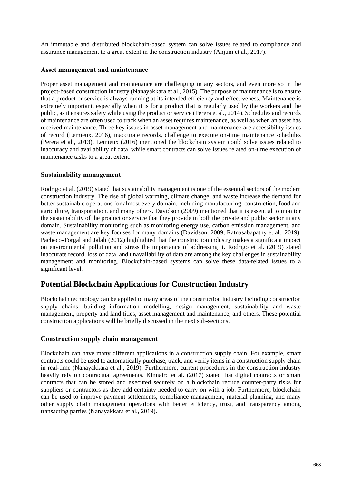An immutable and distributed blockchain-based system can solve issues related to compliance and assurance management to a great extent in the construction industry (Anjum et al., 2017).

#### **Asset management and maintenance**

Proper asset management and maintenance are challenging in any sectors, and even more so in the project-based construction industry (Nanayakkara et al., 2015). The purpose of maintenance is to ensure that a product or service is always running at its intended efficiency and effectiveness. Maintenance is extremely important, especially when it is for a product that is regularly used by the workers and the public, as it ensures safety while using the product or service (Perera et al., 2014). Schedules and records of maintenance are often used to track when an asset requires maintenance, as well as when an asset has received maintenance. Three key issues in asset management and maintenance are accessibility issues of record (Lemieux, 2016), inaccurate records, challenge to execute on-time maintenance schedules (Perera et al., 2013). Lemieux (2016) mentioned the blockchain system could solve issues related to inaccuracy and availability of data, while smart contracts can solve issues related on-time execution of maintenance tasks to a great extent.

#### **Sustainability management**

Rodrigo et al. (2019) stated that sustainability management is one of the essential sectors of the modern construction industry. The rise of global warming, climate change, and waste increase the demand for better sustainable operations for almost every domain, including manufacturing, construction, food and agriculture, transportation, and many others. Davidson (2009) mentioned that it is essential to monitor the sustainability of the product or service that they provide in both the private and public sector in any domain. Sustainability monitoring such as monitoring energy use, carbon emission management, and waste management are key focuses for many domains (Davidson, 2009; Ratnasabapathy et al., 2019). Pacheco-Torgal and Jalali (2012) highlighted that the construction industry makes a significant impact on environmental pollution and stress the importance of addressing it. Rodrigo et al. (2019) stated inaccurate record, loss of data, and unavailability of data are among the key challenges in sustainability management and monitoring. Blockchain-based systems can solve these data-related issues to a significant level.

## **Potential Blockchain Applications for Construction Industry**

Blockchain technology can be applied to many areas of the construction industry including construction supply chains, building information modelling, design management, sustainability and waste management, property and land titles, asset management and maintenance, and others. These potential construction applications will be briefly discussed in the next sub-sections.

#### **Construction supply chain management**

Blockchain can have many different applications in a construction supply chain. For example, smart contracts could be used to automatically purchase, track, and verify items in a construction supply chain in real-time (Nanayakkara et al., 2019). Furthermore, current procedures in the construction industry heavily rely on contractual agreements. Kinnaird et al. (2017) stated that digital contracts or smart contracts that can be stored and executed securely on a blockchain reduce counter-party risks for suppliers or contractors as they add certainty needed to carry on with a job. Furthermore, blockchain can be used to improve payment settlements, compliance management, material planning, and many other supply chain management operations with better efficiency, trust, and transparency among transacting parties (Nanayakkara et al., 2019).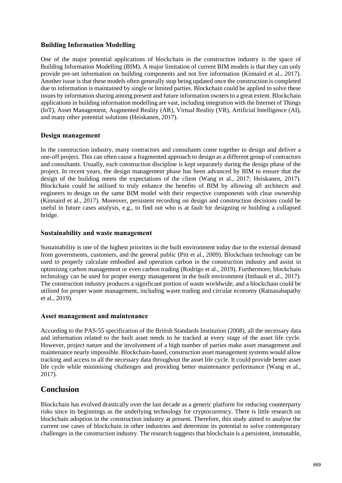#### **Building Information Modelling**

One of the major potential applications of blockchain in the construction industry is the space of Building Information Modelling (BIM). A major limitation of current BIM models is that they can only provide pre-set information on building components and not live information (Kinnaird et al., 2017). Another issue is that these models often generally stop being updated once the construction is completed due to information is maintained by single or limited parties. Blockchain could be applied to solve these issues by information sharing among present and future information owners to a great extent. Blockchain applications in building information modelling are vast, including integration with the Internet of Things (IoT), Asset Management, Augmented Reality (AR), Virtual Reality (VR), Artificial Intelligence (AI), and many other potential solutions (Heiskanen, 2017).

#### **Design management**

In the construction industry, many contractors and consultants come together to design and deliver a one-off project. This can often cause a fragmented approach to design as a different group of contractors and consultants. Usually, each construction discipline is kept separately during the design phase of the project. In recent years, the design management phase has been advanced by BIM to ensure that the design of the building meets the expectations of the client (Wang et al., 2017; Heiskanen, 2017). Blockchain could be utilised to truly enhance the benefits of BIM by allowing all architects and engineers to design on the same BIM model with their respective components with clear ownership (Kinnaird et al., 2017). Moreover, persistent recording on design and construction decisions could be useful in future cases analysis, e.g., to find out who is at fault for designing or building a collapsed bridge.

#### **Sustainability and waste management**

Sustainability is one of the highest priorities in the built environment today due to the external demand from governments, customers, and the general public (Pitt et al., 2009). Blockchain technology can be used to properly calculate embodied and operation carbon in the construction industry and assist in optimising carbon management or even carbon trading (Rodrigo et al., 2019). Furthermore, blockchain technology can be used for proper energy management in the built environment (Imbault et al., 2017). The construction industry produces a significant portion of waste worldwide, and a blockchain could be utilised for proper waste management, including waste trading and circular economy (Ratnasabapathy et al., 2019).

#### **Asset management and maintenance**

According to the PAS-55 specification of the British Standards Institution (2008), all the necessary data and information related to the built asset needs to be tracked at every stage of the asset life cycle. However, project nature and the involvement of a high number of parties make asset management and maintenance nearly impossible. Blockchain-based, construction asset management systems would allow tracking and access to all the necessary data throughout the asset life cycle. It could provide better asset life cycle while minimising challenges and providing better maintenance performance (Wang et al., 2017).

## **Conclusion**

Blockchain has evolved drastically over the last decade as a generic platform for reducing counterparty risks since its beginnings as the underlying technology for cryptocurrency. There is little research on blockchain adoption in the construction industry at present. Therefore, this study aimed to analyse the current use cases of blockchain in other industries and determine its potential to solve contemporary challenges in the construction industry. The research suggests that blockchain is a persistent, immutable,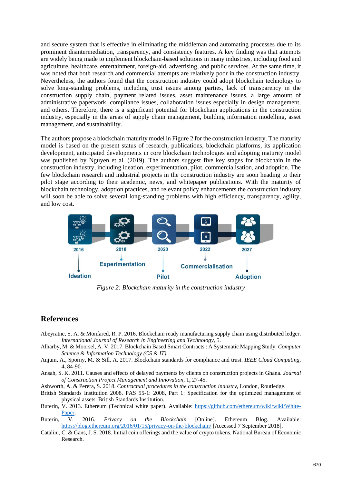and secure system that is effective in eliminating the middleman and automating processes due to its prominent disintermediation, transparency, and consistency features. A key finding was that attempts are widely being made to implement blockchain-based solutions in many industries, including food and agriculture, healthcare, entertainment, foreign-aid, advertising, and public services. At the same time, it was noted that both research and commercial attempts are relatively poor in the construction industry. Nevertheless, the authors found that the construction industry could adopt blockchain technology to solve long-standing problems, including trust issues among parties, lack of transparency in the construction supply chain, payment related issues, asset maintenance issues, a large amount of administrative paperwork, compliance issues, collaboration issues especially in design management, and others. Therefore, there is a significant potential for blockchain applications in the construction industry, especially in the areas of supply chain management, building information modelling, asset management, and sustainability.

The authors propose a blockchain maturity model in Figure 2 for the construction industry. The maturity model is based on the present status of research, publications, blockchain platforms, its application development, anticipated developments in core blockchain technologies and adopting maturity model was published by Nguyen et al. (2019). The authors suggest five key stages for blockchain in the construction industry, including ideation, experimentation, pilot, commercialisation, and adoption. The few blockchain research and industrial projects in the construction industry are soon heading to their pilot stage according to their academic, news, and whitepaper publications. With the maturity of blockchain technology, adoption practices, and relevant policy enhancements the construction industry will soon be able to solve several long-standing problems with high efficiency, transparency, agility, and low cost.



*Figure 2: Blockchain maturity in the construction industry*

#### **References**

- Abeyratne, S. A. & Monfared, R. P. 2016. Blockchain ready manufacturing supply chain using distributed ledger. *International Journal of Research in Engineering and Technology,* 5.
- Alharby, M. & Moorsel, A. V. 2017. Blockchain Based Smart Contracts : A Systematic Mapping Study. *Computer Science & Information Technology (CS & IT).*
- Anjum, A., Sporny, M. & Sill, A. 2017. Blockchain standards for compliance and trust. *IEEE Cloud Computing,* 4**,** 84-90.
- Ansah, S. K. 2011. Causes and effects of delayed payments by clients on construction projects in Ghana. *Journal of Construction Project Management and Innovation,* 1**,** 27-45.
- Ashworth, A. & Perera, S. 2018. *Contractual procedures in the construction industry,* London, Routledge.
- British Standards Institution 2008. PAS 55-1: 2008, Part 1: Specification for the optimized management of physical assets. British Standards Institution.
- Buterin, V. 2013. Ethereum (Technical white paper). Available: [https://github.com/ethereum/wiki/wiki/White-](https://github.com/ethereum/wiki/wiki/White-Paper)[Paper.](https://github.com/ethereum/wiki/wiki/White-Paper)
- Buterin, V. 2016. *Privacy on the Blockchain* [Online]. Ethereum Blog. Available: <https://blog.ethereum.org/2016/01/15/privacy-on-the-blockchain/> [Accessed 7 September 2018].
- Catalini, C. & Gans, J. S. 2018. Initial coin offerings and the value of crypto tokens. National Bureau of Economic Research.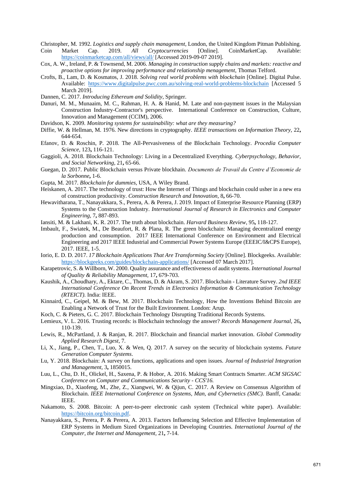- Christopher, M. 1992. *Logistics and supply chain management,* London, the United Kingdom Pitman Publishing. Coin Market Cap. 2019. *All Cryptocurrencies* [Online]. CoinMarketCap. Available: <https://coinmarketcap.com/all/views/all/> [Accessed 2019-09-07 2019].
- Cox, A. W., Ireland, P. & Townsend, M. 2006. *Managing in construction supply chains and markets: reactive and proactive options for improving performance and relationship menagement*, Thomas Telford.
- Crofts, B., Lam, D. & Kosmatos, J. 2018. *Solving real world problems with blockchain* [Online]. Digital Pulse. Available:<https://www.digitalpulse.pwc.com.au/solving-real-world-problems-blockchain> [Accessed 5 March 2019].
- Dannen, C. 2017. *Introducing Ethereum and Solidity*, Springer.
- Danuri, M. M., Munaaim, M. C., Rahman, H. A. & Hanid, M. Late and non-payment issues in the Malaysian Construction Industry-Contractor's perspective. International Conference on Construction, Culture, Innovation and Management (CCIM), 2006.
- Davidson, K. 2009. *Monitoring systems for sustainability: what are they measuring?*
- Diffie, W. & Hellman, M. 1976. New directions in cryptography. *IEEE transactions on Information Theory,* 22**,** 644-654.
- Efanov, D. & Roschin, P. 2018. The All-Pervasiveness of the Blockchain Technology. *Procedia Computer Science,* 123**,** 116-121.
- Gaggioli, A. 2018. Blockchain Technology: Living in a Decentralized Everything. *Cyberpsychology, Behavior, and Social Networking,* 21**,** 65-66.
- Guegan, D. 2017. Public Blockchain versus Private blockhain. *Documents de Travail du Centre d'Economie de la Sorbonne***,** 1-6.
- Gupta, M. 2017. *Blockchain for dummies,* USA, A Wiley Brand.
- Heiskanen, A. 2017. The technology of trust: How the Internet of Things and blockchain could usher in a new era of construction productivity. *Construction Research and Innovation,* 8**,** 66-70.
- Hewavitharana, T., Nanayakkara, S., Perera, A. & Perera, J. 2019. Impact of Enterprise Resource Planning (ERP) Systems to the Construction Industry. *International Journal of Research in Electronics and Computer Engineering,* 7**,** 887-893.
- Iansiti, M. & Lakhani, K. R. 2017. The truth about blockchain. *Harvard Business Review,* 95**,** 118-127.
- Imbault, F., Swiatek, M., De Beaufort, R. & Plana, R. The green blockchain: Managing decentralized energy production and consumption. 2017 IEEE International Conference on Environment and Electrical Engineering and 2017 IEEE Industrial and Commercial Power Systems Europe (EEEIC/I&CPS Europe), 2017. IEEE, 1-5.
- Iorio, E. D. D. 2017. *17 Blockchain Applications That Are Transforming Society* [Online]. Blockgeeks. Available: <https://blockgeeks.com/guides/blockchain-applications/> [Accessed 07 March 2017].
- Karapetrovic, S. & Willborn, W. 2000. Quality assurance and effectiveness of audit systems. *International Journal of Quality & Reliability Management,* 17**,** 679-703.
- Kaushik, A., Choudhary, A., Ektare, C., Thomas, D. & Akram, S. 2017. Blockchain Literature Survey. *2nd IEEE International Conference On Recent Trends in Electronics Information & Communication Technology (RTEICT).* India: IEEE.
- Kinnaird, C., Geipel, M. & Bew, M. 2017. Blockchain Technology, How the Inventions Behind Bitcoin are Enabling a Network of Trust for the Built Environment. London: Arup.
- Koch, C. & Pieters, G. C. 2017. Blockchain Technology Disrupting Traditional Records Systems.
- Lemieux, V. L. 2016. Trusting records: is Blockchain technology the answer? *Records Management Journal,* 26**,** 110-139.
- Lewis, R., McPartland, J. & Ranjan, R. 2017. Blockchain and financial market innovation. *Global Commodity Applied Research Digest,* 7.
- Li, X., Jiang, P., Chen, T., Luo, X. & Wen, Q. 2017. A survey on the security of blockchain systems. *Future Generation Computer Systems*.
- Lu, Y. 2018. Blockchain: A survey on functions, applications and open issues. *Journal of Industrial Integration and Management,* 3**,** 1850015.
- Luu, L., Chu, D. H., Olickel, H., Saxena, P. & Hobor, A. 2016. Making Smart Contracts Smarter. *ACM SIGSAC Conference on Computer and Communications Security - CCS'16.*
- Mingxiao, D., Xiaofeng, M., Zhe, Z., Xiangwei, W. & Qijun, C. 2017. A Review on Consensus Algorithm of Blockchain. *IEEE International Conference on Systems, Man, and Cybernetics (SMC).* Banff, Canada: IEEE.
- Nakamoto, S. 2008. Bitcoin: A peer-to-peer electronic cash system (Technical white paper). Available: [https://bitcoin.org/bitcoin.pdf.](https://bitcoin.org/bitcoin.pdf)
- Nanayakkara, S., Perera, P. & Perera, A. 2013. Factors Influencing Selection and Effective Implementation of ERP Systems in Medium Sized Organizations in Developing Countries. *International Journal of the Computer, the Internet and Management,* 21**,** 7-14.